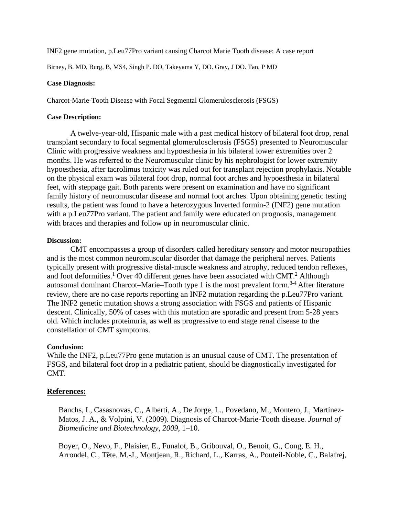INF2 gene mutation, p.Leu77Pro variant causing Charcot Marie Tooth disease; A case report

Birney, B. MD, Burg, B, MS4, Singh P. DO, Takeyama Y, DO. Gray, J DO. Tan, P MD

### **Case Diagnosis:**

Charcot-Marie-Tooth Disease with Focal Segmental Glomerulosclerosis (FSGS)

## **Case Description:**

A twelve-year-old, Hispanic male with a past medical history of bilateral foot drop, renal transplant secondary to focal segmental glomerulosclerosis (FSGS) presented to Neuromuscular Clinic with progressive weakness and hypoesthesia in his bilateral lower extremities over 2 months. He was referred to the Neuromuscular clinic by his nephrologist for lower extremity hypoesthesia, after tacrolimus toxicity was ruled out for transplant rejection prophylaxis. Notable on the physical exam was bilateral foot drop, normal foot arches and hypoesthesia in bilateral feet, with steppage gait. Both parents were present on examination and have no significant family history of neuromuscular disease and normal foot arches. Upon obtaining genetic testing results, the patient was found to have a heterozygous Inverted formin-2 (INF2) gene mutation with a p.Leu77Pro variant. The patient and family were educated on prognosis, management with braces and therapies and follow up in neuromuscular clinic.

## **Discussion:**

CMT encompasses a group of disorders called hereditary sensory and motor neuropathies and is the most common neuromuscular disorder that damage the peripheral nerves. Patients typically present with progressive distal-muscle weakness and atrophy, reduced tendon reflexes, and foot deformities.<sup>1</sup> Over 40 different genes have been associated with CMT.<sup>2</sup> Although autosomal dominant Charcot–Marie–Tooth type 1 is the most prevalent form.<sup>3-4</sup> After literature review, there are no case reports reporting an INF2 mutation regarding the p.Leu77Pro variant. The INF2 genetic mutation shows a strong association with FSGS and patients of Hispanic descent. Clinically, 50% of cases with this mutation are sporadic and present from 5-28 years old. Which includes proteinuria, as well as progressive to end stage renal disease to the constellation of CMT symptoms.

# **Conclusion:**

While the INF2, p.Leu77Pro gene mutation is an unusual cause of CMT. The presentation of FSGS, and bilateral foot drop in a pediatric patient, should be diagnostically investigated for CMT.

# **References:**

Banchs, I., Casasnovas, C., Albertí, A., De Jorge, L., Povedano, M., Montero, J., Martínez-Matos, J. A., & Volpini, V. (2009). Diagnosis of Charcot-Marie-Tooth disease. *Journal of Biomedicine and Biotechnology*, *2009*, 1–10.

Boyer, O., Nevo, F., Plaisier, E., Funalot, B., Gribouval, O., Benoit, G., Cong, E. H., Arrondel, C., Tête, M.-J., Montjean, R., Richard, L., Karras, A., Pouteil-Noble, C., Balafrej,